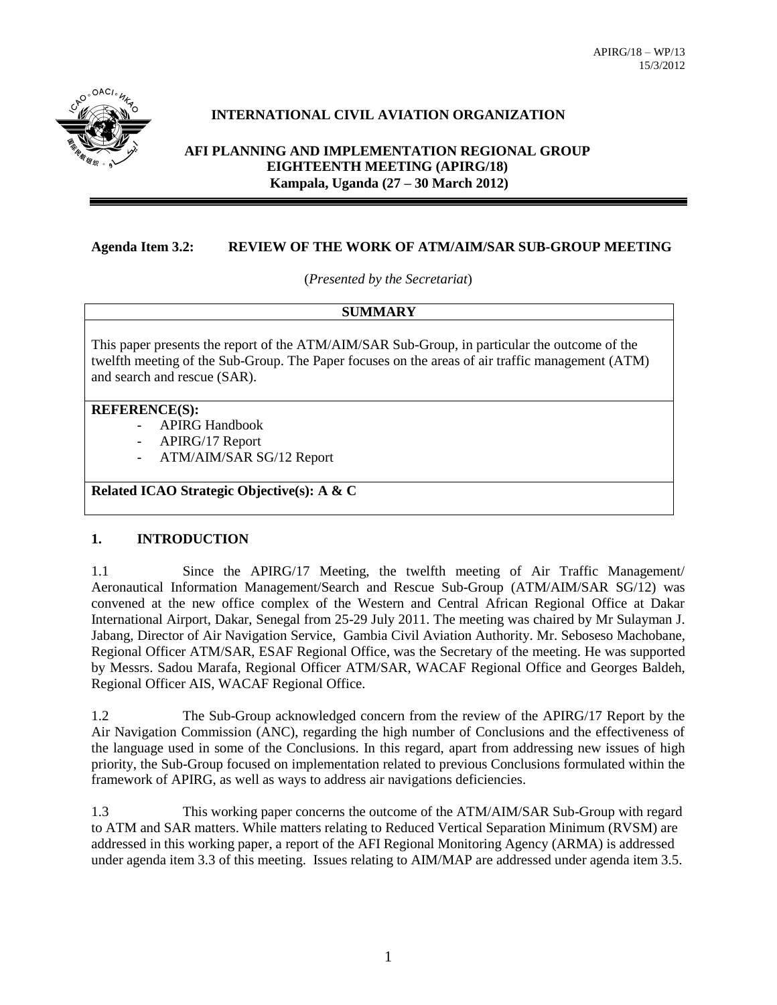

# **INTERNATIONAL CIVIL AVIATION ORGANIZATION**

# **AFI PLANNING AND IMPLEMENTATION REGIONAL GROUP EIGHTEENTH MEETING (APIRG/18) Kampala, Uganda (27 – 30 March 2012)**

# **Agenda Item 3.2: REVIEW OF THE WORK OF ATM/AIM/SAR SUB-GROUP MEETING**

(*Presented by the Secretariat*)

#### **SUMMARY**

This paper presents the report of the ATM/AIM/SAR Sub-Group, in particular the outcome of the twelfth meeting of the Sub-Group. The Paper focuses on the areas of air traffic management (ATM) and search and rescue (SAR).

#### **REFERENCE(S):**

- APIRG Handbook
- APIRG/17 Report
- ATM/AIM/SAR SG/12 Report

# **Related ICAO Strategic Objective(s): A & C**

#### **1. INTRODUCTION**

1.1 Since the APIRG/17 Meeting, the twelfth meeting of Air Traffic Management/ Aeronautical Information Management/Search and Rescue Sub-Group (ATM/AIM/SAR SG/12) was convened at the new office complex of the Western and Central African Regional Office at Dakar International Airport, Dakar, Senegal from 25-29 July 2011. The meeting was chaired by Mr Sulayman J. Jabang, Director of Air Navigation Service, Gambia Civil Aviation Authority. Mr. Seboseso Machobane, Regional Officer ATM/SAR, ESAF Regional Office, was the Secretary of the meeting. He was supported by Messrs. Sadou Marafa, Regional Officer ATM/SAR, WACAF Regional Office and Georges Baldeh, Regional Officer AIS, WACAF Regional Office.

1.2 The Sub-Group acknowledged concern from the review of the APIRG/17 Report by the Air Navigation Commission (ANC), regarding the high number of Conclusions and the effectiveness of the language used in some of the Conclusions. In this regard, apart from addressing new issues of high priority, the Sub-Group focused on implementation related to previous Conclusions formulated within the framework of APIRG, as well as ways to address air navigations deficiencies.

1.3 This working paper concerns the outcome of the ATM/AIM/SAR Sub-Group with regard to ATM and SAR matters. While matters relating to Reduced Vertical Separation Minimum (RVSM) are addressed in this working paper, a report of the AFI Regional Monitoring Agency (ARMA) is addressed under agenda item 3.3 of this meeting. Issues relating to AIM/MAP are addressed under agenda item 3.5.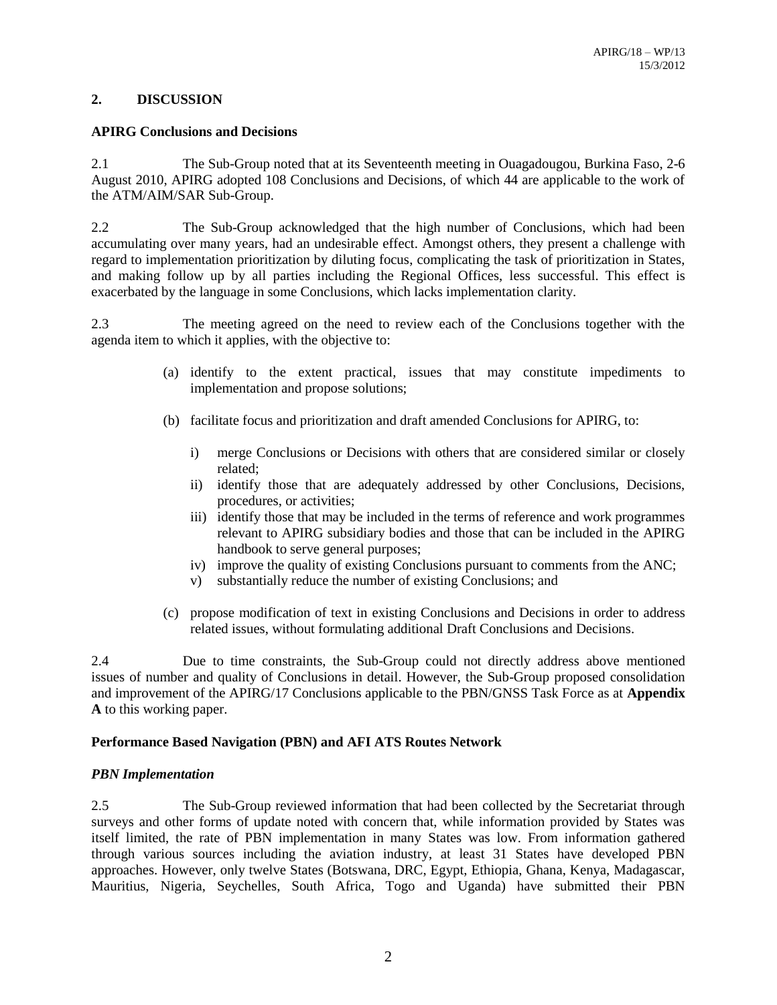### **2. DISCUSSION**

### **APIRG Conclusions and Decisions**

2.1 The Sub-Group noted that at its Seventeenth meeting in Ouagadougou, Burkina Faso, 2-6 August 2010, APIRG adopted 108 Conclusions and Decisions, of which 44 are applicable to the work of the ATM/AIM/SAR Sub-Group.

2.2 The Sub-Group acknowledged that the high number of Conclusions, which had been accumulating over many years, had an undesirable effect. Amongst others, they present a challenge with regard to implementation prioritization by diluting focus, complicating the task of prioritization in States, and making follow up by all parties including the Regional Offices, less successful. This effect is exacerbated by the language in some Conclusions, which lacks implementation clarity.

2.3 The meeting agreed on the need to review each of the Conclusions together with the agenda item to which it applies, with the objective to:

- (a) identify to the extent practical, issues that may constitute impediments to implementation and propose solutions;
- (b) facilitate focus and prioritization and draft amended Conclusions for APIRG, to:
	- i) merge Conclusions or Decisions with others that are considered similar or closely related;
	- ii) identify those that are adequately addressed by other Conclusions, Decisions, procedures, or activities;
	- iii) identify those that may be included in the terms of reference and work programmes relevant to APIRG subsidiary bodies and those that can be included in the APIRG handbook to serve general purposes;
	- iv) improve the quality of existing Conclusions pursuant to comments from the ANC;
	- v) substantially reduce the number of existing Conclusions; and
- (c) propose modification of text in existing Conclusions and Decisions in order to address related issues, without formulating additional Draft Conclusions and Decisions.

2.4 Due to time constraints, the Sub-Group could not directly address above mentioned issues of number and quality of Conclusions in detail. However, the Sub-Group proposed consolidation and improvement of the APIRG/17 Conclusions applicable to the PBN/GNSS Task Force as at **Appendix A** to this working paper.

### **Performance Based Navigation (PBN) and AFI ATS Routes Network**

### *PBN Implementation*

2.5 The Sub-Group reviewed information that had been collected by the Secretariat through surveys and other forms of update noted with concern that, while information provided by States was itself limited, the rate of PBN implementation in many States was low. From information gathered through various sources including the aviation industry, at least 31 States have developed PBN approaches. However, only twelve States (Botswana, DRC, Egypt, Ethiopia, Ghana, Kenya, Madagascar, Mauritius, Nigeria, Seychelles, South Africa, Togo and Uganda) have submitted their PBN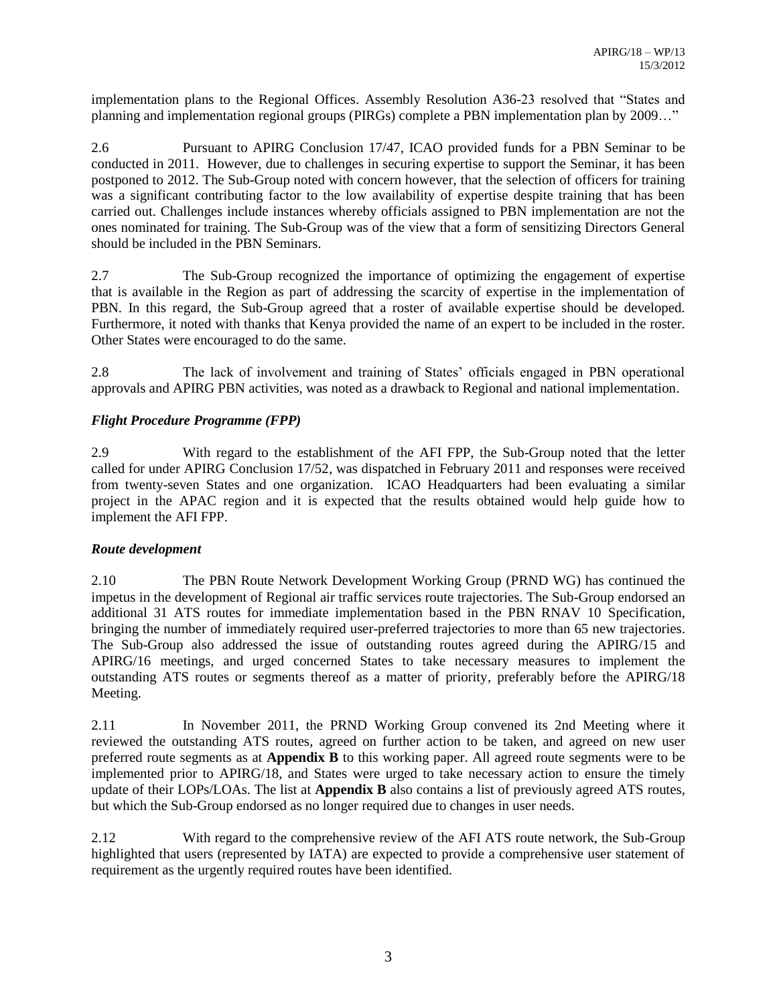implementation plans to the Regional Offices. Assembly Resolution A36-23 resolved that "States and planning and implementation regional groups (PIRGs) complete a PBN implementation plan by 2009…"

2.6 Pursuant to APIRG Conclusion 17/47, ICAO provided funds for a PBN Seminar to be conducted in 2011. However, due to challenges in securing expertise to support the Seminar, it has been postponed to 2012. The Sub-Group noted with concern however, that the selection of officers for training was a significant contributing factor to the low availability of expertise despite training that has been carried out. Challenges include instances whereby officials assigned to PBN implementation are not the ones nominated for training. The Sub-Group was of the view that a form of sensitizing Directors General should be included in the PBN Seminars.

2.7 The Sub-Group recognized the importance of optimizing the engagement of expertise that is available in the Region as part of addressing the scarcity of expertise in the implementation of PBN. In this regard, the Sub-Group agreed that a roster of available expertise should be developed. Furthermore, it noted with thanks that Kenya provided the name of an expert to be included in the roster. Other States were encouraged to do the same.

2.8 The lack of involvement and training of States' officials engaged in PBN operational approvals and APIRG PBN activities, was noted as a drawback to Regional and national implementation.

# *Flight Procedure Programme (FPP)*

2.9 With regard to the establishment of the AFI FPP, the Sub-Group noted that the letter called for under APIRG Conclusion 17/52, was dispatched in February 2011 and responses were received from twenty-seven States and one organization. ICAO Headquarters had been evaluating a similar project in the APAC region and it is expected that the results obtained would help guide how to implement the AFI FPP.

### *Route development*

2.10 The PBN Route Network Development Working Group (PRND WG) has continued the impetus in the development of Regional air traffic services route trajectories. The Sub-Group endorsed an additional 31 ATS routes for immediate implementation based in the PBN RNAV 10 Specification, bringing the number of immediately required user-preferred trajectories to more than 65 new trajectories. The Sub-Group also addressed the issue of outstanding routes agreed during the APIRG/15 and APIRG/16 meetings, and urged concerned States to take necessary measures to implement the outstanding ATS routes or segments thereof as a matter of priority, preferably before the APIRG/18 Meeting.

2.11 In November 2011, the PRND Working Group convened its 2nd Meeting where it reviewed the outstanding ATS routes, agreed on further action to be taken, and agreed on new user preferred route segments as at **Appendix B** to this working paper. All agreed route segments were to be implemented prior to APIRG/18, and States were urged to take necessary action to ensure the timely update of their LOPs/LOAs. The list at **Appendix B** also contains a list of previously agreed ATS routes, but which the Sub-Group endorsed as no longer required due to changes in user needs.

2.12 With regard to the comprehensive review of the AFI ATS route network, the Sub-Group highlighted that users (represented by IATA) are expected to provide a comprehensive user statement of requirement as the urgently required routes have been identified.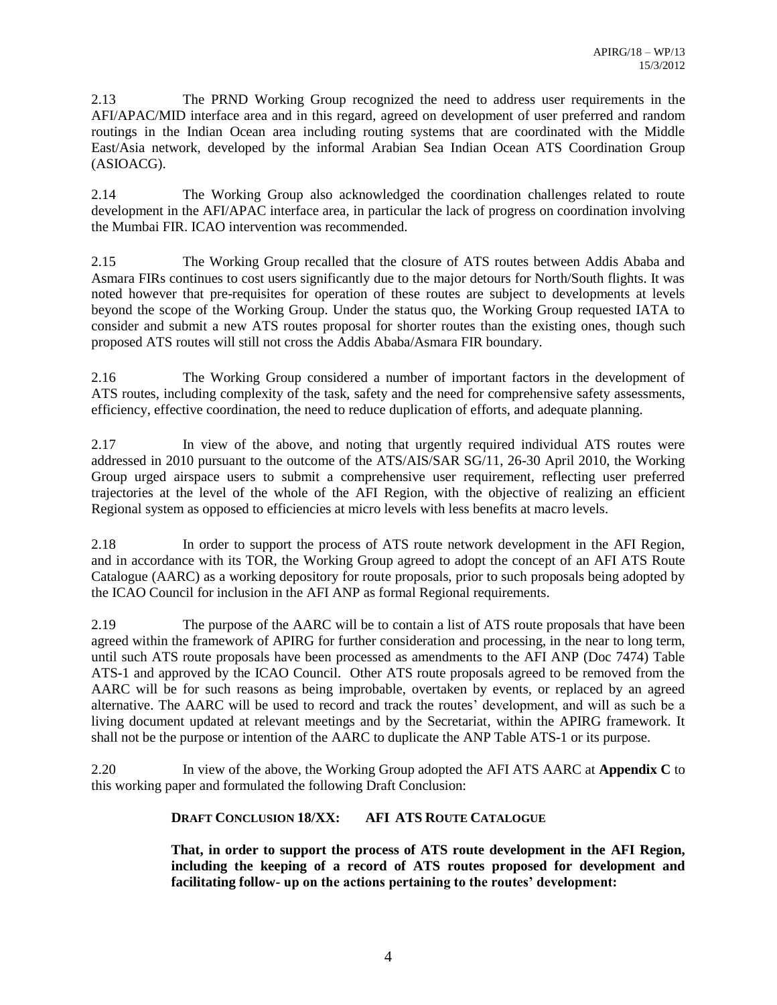2.13 The PRND Working Group recognized the need to address user requirements in the AFI/APAC/MID interface area and in this regard, agreed on development of user preferred and random routings in the Indian Ocean area including routing systems that are coordinated with the Middle East/Asia network, developed by the informal Arabian Sea Indian Ocean ATS Coordination Group (ASIOACG).

2.14 The Working Group also acknowledged the coordination challenges related to route development in the AFI/APAC interface area, in particular the lack of progress on coordination involving the Mumbai FIR. ICAO intervention was recommended.

2.15 The Working Group recalled that the closure of ATS routes between Addis Ababa and Asmara FIRs continues to cost users significantly due to the major detours for North/South flights. It was noted however that pre-requisites for operation of these routes are subject to developments at levels beyond the scope of the Working Group. Under the status quo, the Working Group requested IATA to consider and submit a new ATS routes proposal for shorter routes than the existing ones, though such proposed ATS routes will still not cross the Addis Ababa/Asmara FIR boundary.

2.16 The Working Group considered a number of important factors in the development of ATS routes, including complexity of the task, safety and the need for comprehensive safety assessments, efficiency, effective coordination, the need to reduce duplication of efforts, and adequate planning.

2.17 In view of the above, and noting that urgently required individual ATS routes were addressed in 2010 pursuant to the outcome of the ATS/AIS/SAR SG/11, 26-30 April 2010, the Working Group urged airspace users to submit a comprehensive user requirement, reflecting user preferred trajectories at the level of the whole of the AFI Region, with the objective of realizing an efficient Regional system as opposed to efficiencies at micro levels with less benefits at macro levels.

2.18 In order to support the process of ATS route network development in the AFI Region, and in accordance with its TOR, the Working Group agreed to adopt the concept of an AFI ATS Route Catalogue (AARC) as a working depository for route proposals, prior to such proposals being adopted by the ICAO Council for inclusion in the AFI ANP as formal Regional requirements.

2.19 The purpose of the AARC will be to contain a list of ATS route proposals that have been agreed within the framework of APIRG for further consideration and processing, in the near to long term, until such ATS route proposals have been processed as amendments to the AFI ANP (Doc 7474) Table ATS-1 and approved by the ICAO Council. Other ATS route proposals agreed to be removed from the AARC will be for such reasons as being improbable, overtaken by events, or replaced by an agreed alternative. The AARC will be used to record and track the routes' development, and will as such be a living document updated at relevant meetings and by the Secretariat, within the APIRG framework. It shall not be the purpose or intention of the AARC to duplicate the ANP Table ATS-1 or its purpose.

2.20 In view of the above, the Working Group adopted the AFI ATS AARC at **Appendix C** to this working paper and formulated the following Draft Conclusion:

# **DRAFT CONCLUSION 18/XX: AFI ATS ROUTE CATALOGUE**

**That, in order to support the process of ATS route development in the AFI Region, including the keeping of a record of ATS routes proposed for development and facilitating follow- up on the actions pertaining to the routes' development:**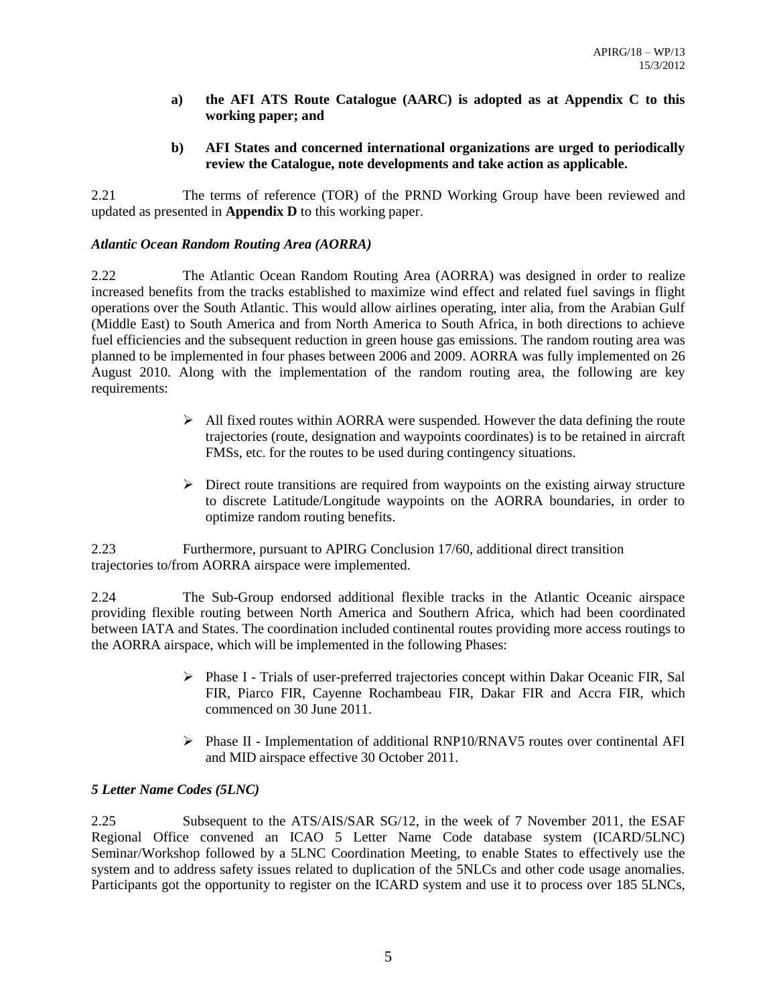- **a) the AFI ATS Route Catalogue (AARC) is adopted as at Appendix C to this working paper; and**
- **b) AFI States and concerned international organizations are urged to periodically review the Catalogue, note developments and take action as applicable.**

2.21 The terms of reference (TOR) of the PRND Working Group have been reviewed and updated as presented in **Appendix D** to this working paper.

# *Atlantic Ocean Random Routing Area (AORRA)*

2.22 The Atlantic Ocean Random Routing Area (AORRA) was designed in order to realize increased benefits from the tracks established to maximize wind effect and related fuel savings in flight operations over the South Atlantic. This would allow airlines operating, inter alia, from the Arabian Gulf (Middle East) to South America and from North America to South Africa, in both directions to achieve fuel efficiencies and the subsequent reduction in green house gas emissions. The random routing area was planned to be implemented in four phases between 2006 and 2009. AORRA was fully implemented on 26 August 2010. Along with the implementation of the random routing area, the following are key requirements:

- $\triangleright$  All fixed routes within AORRA were suspended. However the data defining the route trajectories (route, designation and waypoints coordinates) is to be retained in aircraft FMSs, etc. for the routes to be used during contingency situations.
- $\triangleright$  Direct route transitions are required from waypoints on the existing airway structure to discrete Latitude/Longitude waypoints on the AORRA boundaries, in order to optimize random routing benefits.

2.23 Furthermore, pursuant to APIRG Conclusion 17/60, additional direct transition trajectories to/from AORRA airspace were implemented.

2.24 The Sub-Group endorsed additional flexible tracks in the Atlantic Oceanic airspace providing flexible routing between North America and Southern Africa, which had been coordinated between IATA and States. The coordination included continental routes providing more access routings to the AORRA airspace, which will be implemented in the following Phases:

- $\triangleright$  Phase I Trials of user-preferred trajectories concept within Dakar Oceanic FIR, Sal FIR, Piarco FIR, Cayenne Rochambeau FIR, Dakar FIR and Accra FIR, which commenced on 30 June 2011.
- $\triangleright$  Phase II Implementation of additional RNP10/RNAV5 routes over continental AFI and MID airspace effective 30 October 2011.

### *5 Letter Name Codes (5LNC)*

2.25 Subsequent to the ATS/AIS/SAR SG/12, in the week of 7 November 2011, the ESAF Regional Office convened an ICAO 5 Letter Name Code database system (ICARD/5LNC) Seminar/Workshop followed by a 5LNC Coordination Meeting, to enable States to effectively use the system and to address safety issues related to duplication of the 5NLCs and other code usage anomalies. Participants got the opportunity to register on the ICARD system and use it to process over 185 5LNCs,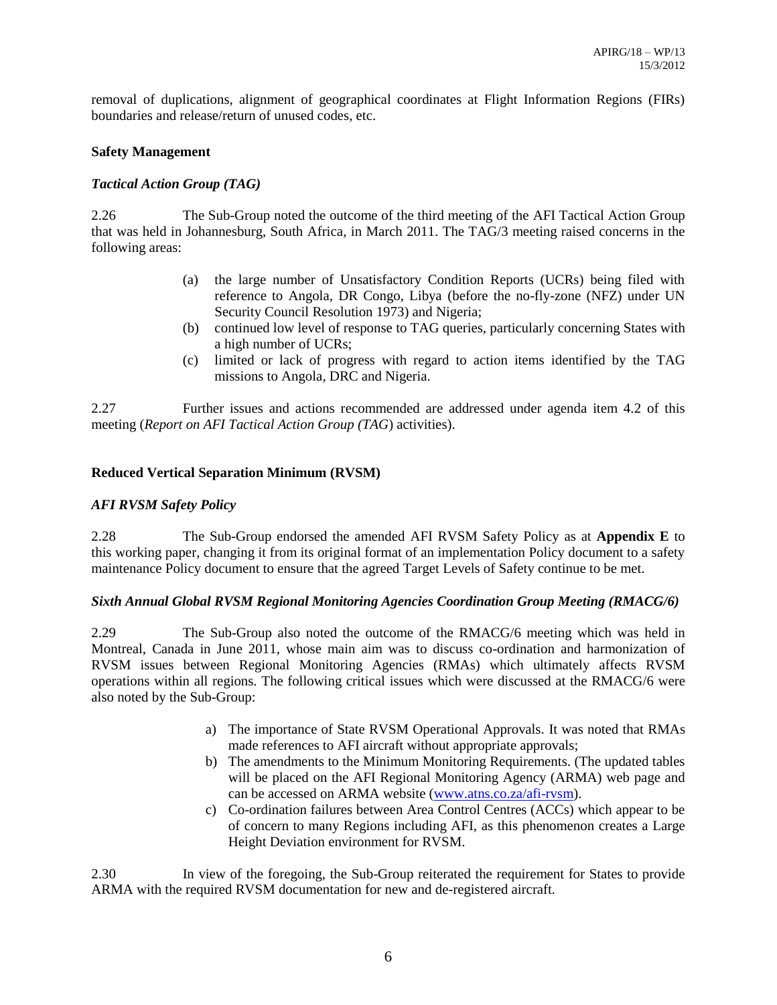removal of duplications, alignment of geographical coordinates at Flight Information Regions (FIRs) boundaries and release/return of unused codes, etc.

### **Safety Management**

### *Tactical Action Group (TAG)*

2.26 The Sub-Group noted the outcome of the third meeting of the AFI Tactical Action Group that was held in Johannesburg, South Africa, in March 2011. The TAG/3 meeting raised concerns in the following areas:

- (a) the large number of Unsatisfactory Condition Reports (UCRs) being filed with reference to Angola, DR Congo, Libya (before the no-fly-zone (NFZ) under UN Security Council Resolution 1973) and Nigeria;
- (b) continued low level of response to TAG queries, particularly concerning States with a high number of UCRs;
- (c) limited or lack of progress with regard to action items identified by the TAG missions to Angola, DRC and Nigeria.

2.27 Further issues and actions recommended are addressed under agenda item 4.2 of this meeting (*Report on AFI Tactical Action Group (TAG*) activities).

### **Reduced Vertical Separation Minimum (RVSM)**

### *AFI RVSM Safety Policy*

2.28 The Sub-Group endorsed the amended AFI RVSM Safety Policy as at **Appendix E** to this working paper, changing it from its original format of an implementation Policy document to a safety maintenance Policy document to ensure that the agreed Target Levels of Safety continue to be met.

### *Sixth Annual Global RVSM Regional Monitoring Agencies Coordination Group Meeting (RMACG/6)*

2.29 The Sub-Group also noted the outcome of the RMACG/6 meeting which was held in Montreal, Canada in June 2011, whose main aim was to discuss co-ordination and harmonization of RVSM issues between Regional Monitoring Agencies (RMAs) which ultimately affects RVSM operations within all regions. The following critical issues which were discussed at the RMACG/6 were also noted by the Sub-Group:

- a) The importance of State RVSM Operational Approvals. It was noted that RMAs made references to AFI aircraft without appropriate approvals;
- b) The amendments to the Minimum Monitoring Requirements. (The updated tables will be placed on the AFI Regional Monitoring Agency (ARMA) web page and can be accessed on ARMA website [\(www.atns.co.za/afi-rvsm\)](http://www.atns.co.za/afi-rvsm).
- c) Co-ordination failures between Area Control Centres (ACCs) which appear to be of concern to many Regions including AFI, as this phenomenon creates a Large Height Deviation environment for RVSM.

2.30 In view of the foregoing, the Sub-Group reiterated the requirement for States to provide ARMA with the required RVSM documentation for new and de-registered aircraft.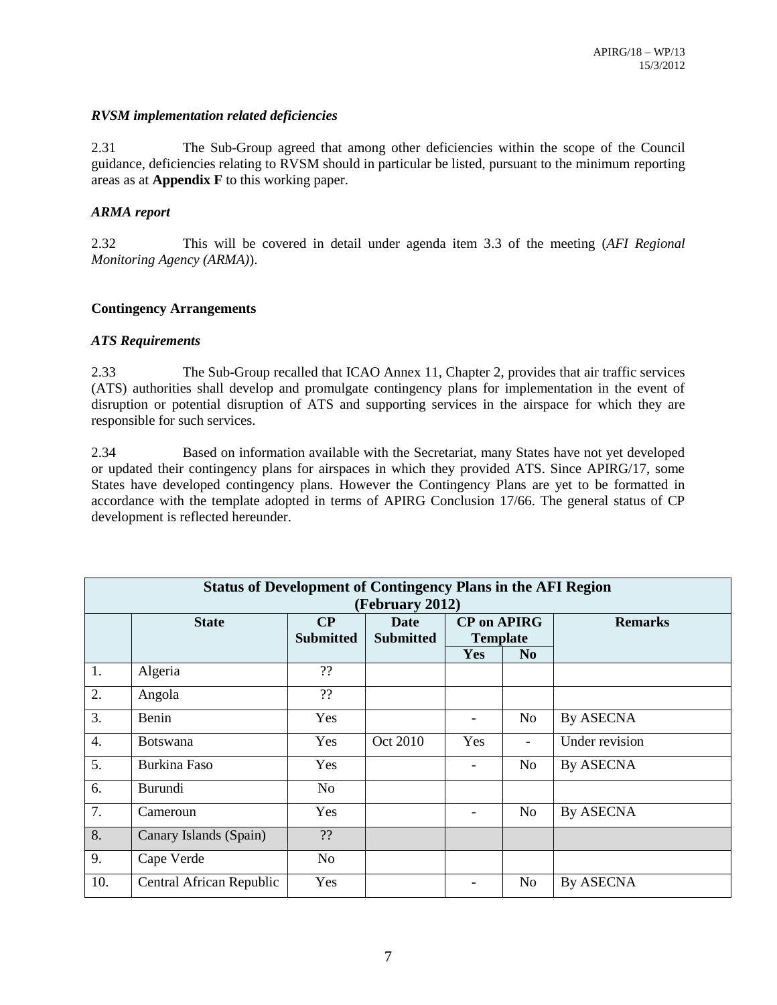### *RVSM implementation related deficiencies*

2.31 The Sub-Group agreed that among other deficiencies within the scope of the Council guidance, deficiencies relating to RVSM should in particular be listed, pursuant to the minimum reporting areas as at **Appendix F** to this working paper.

# *ARMA report*

2.32 This will be covered in detail under agenda item 3.3 of the meeting (*AFI Regional Monitoring Agency (ARMA)*).

# **Contingency Arrangements**

### *ATS Requirements*

2.33 The Sub-Group recalled that ICAO Annex 11, Chapter 2, provides that air traffic services (ATS) authorities shall develop and promulgate contingency plans for implementation in the event of disruption or potential disruption of ATS and supporting services in the airspace for which they are responsible for such services.

2.34 Based on information available with the Secretariat, many States have not yet developed or updated their contingency plans for airspaces in which they provided ATS. Since APIRG/17, some States have developed contingency plans. However the Contingency Plans are yet to be formatted in accordance with the template adopted in terms of APIRG Conclusion 17/66. The general status of CP development is reflected hereunder.

| <b>Status of Development of Contingency Plans in the AFI Region</b> |                          |                  |                  |                          |                          |                  |  |
|---------------------------------------------------------------------|--------------------------|------------------|------------------|--------------------------|--------------------------|------------------|--|
| (February 2012)                                                     |                          |                  |                  |                          |                          |                  |  |
|                                                                     | <b>State</b>             | $\bf CP$         | Date             | <b>CP</b> on APIRG       |                          | <b>Remarks</b>   |  |
|                                                                     |                          | <b>Submitted</b> | <b>Submitted</b> | <b>Template</b>          |                          |                  |  |
|                                                                     |                          |                  |                  | Yes                      | N <sub>0</sub>           |                  |  |
| 1.                                                                  | Algeria                  | ??               |                  |                          |                          |                  |  |
| 2.                                                                  | Angola                   | 22               |                  |                          |                          |                  |  |
| 3.                                                                  | Benin                    | Yes              |                  |                          | N <sub>0</sub>           | <b>By ASECNA</b> |  |
| $\overline{4}$ .                                                    | <b>Botswana</b>          | Yes              | Oct 2010         | Yes                      | $\overline{\phantom{a}}$ | Under revision   |  |
| 5.                                                                  | Burkina Faso             | Yes              |                  |                          | N <sub>o</sub>           | By ASECNA        |  |
| 6.                                                                  | Burundi                  | No.              |                  |                          |                          |                  |  |
| 7.                                                                  | Cameroun                 | Yes              |                  |                          | N <sub>o</sub>           | By ASECNA        |  |
| 8.                                                                  | Canary Islands (Spain)   | ??               |                  |                          |                          |                  |  |
| 9.                                                                  | Cape Verde               | No               |                  |                          |                          |                  |  |
| 10.                                                                 | Central African Republic | Yes              |                  | $\overline{\phantom{a}}$ | No                       | By ASECNA        |  |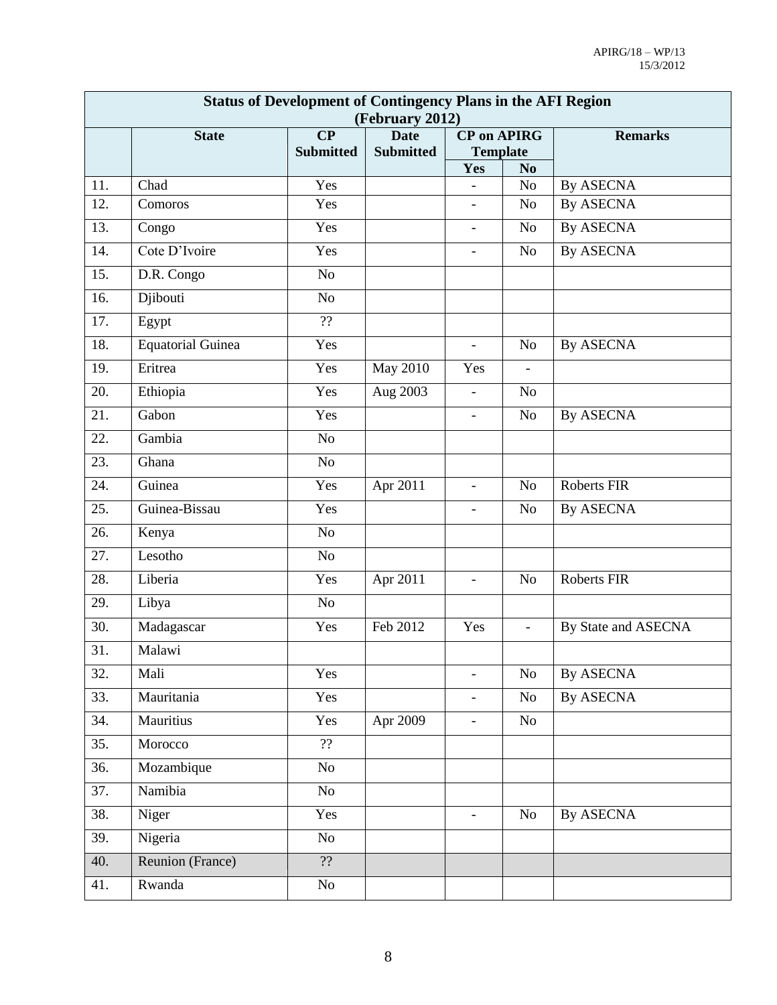| <b>Status of Development of Contingency Plans in the AFI Region</b> |                          |                              |                                 |                          |                          |                     |  |
|---------------------------------------------------------------------|--------------------------|------------------------------|---------------------------------|--------------------------|--------------------------|---------------------|--|
| (February 2012)<br><b>CP</b> on APIRG                               |                          |                              |                                 |                          |                          |                     |  |
|                                                                     | <b>State</b>             | $\bf CP$<br><b>Submitted</b> | <b>Date</b><br><b>Submitted</b> | <b>Template</b>          |                          | <b>Remarks</b>      |  |
|                                                                     |                          |                              |                                 | Yes                      | N <sub>0</sub>           |                     |  |
| 11.                                                                 | Chad                     | Yes                          |                                 | $\overline{\phantom{a}}$ | N <sub>o</sub>           | <b>By ASECNA</b>    |  |
| 12.                                                                 | Comoros                  | Yes                          |                                 | $\blacksquare$           | N <sub>o</sub>           | <b>By ASECNA</b>    |  |
| 13.                                                                 | Congo                    | Yes                          |                                 | $\overline{\phantom{a}}$ | No                       | <b>By ASECNA</b>    |  |
| 14.                                                                 | Cote D'Ivoire            | Yes                          |                                 | $\overline{\phantom{a}}$ | N <sub>o</sub>           | <b>By ASECNA</b>    |  |
| 15.                                                                 | D.R. Congo               | No                           |                                 |                          |                          |                     |  |
| 16.                                                                 | Djibouti                 | No                           |                                 |                          |                          |                     |  |
| 17.                                                                 | Egypt                    | ??                           |                                 |                          |                          |                     |  |
| 18.                                                                 | <b>Equatorial Guinea</b> | Yes                          |                                 | $\overline{\phantom{a}}$ | N <sub>o</sub>           | <b>By ASECNA</b>    |  |
| 19.                                                                 | Eritrea                  | Yes                          | <b>May 2010</b>                 | Yes                      | $\overline{\phantom{a}}$ |                     |  |
| 20.                                                                 | Ethiopia                 | Yes                          | Aug 2003                        | $\overline{\phantom{a}}$ | No                       |                     |  |
| 21.                                                                 | Gabon                    | Yes                          |                                 | $\equiv$                 | N <sub>o</sub>           | <b>By ASECNA</b>    |  |
| 22.                                                                 | Gambia                   | No                           |                                 |                          |                          |                     |  |
| 23.                                                                 | Ghana                    | No                           |                                 |                          |                          |                     |  |
| 24.                                                                 | Guinea                   | Yes                          | Apr 2011                        | $\overline{\phantom{a}}$ | N <sub>o</sub>           | <b>Roberts FIR</b>  |  |
| 25.                                                                 | Guinea-Bissau            | Yes                          |                                 | $\overline{\phantom{a}}$ | N <sub>o</sub>           | <b>By ASECNA</b>    |  |
| 26.                                                                 | Kenya                    | No                           |                                 |                          |                          |                     |  |
| 27.                                                                 | Lesotho                  | No                           |                                 |                          |                          |                     |  |
| 28.                                                                 | Liberia                  | Yes                          | Apr 2011                        | $\overline{\phantom{a}}$ | N <sub>o</sub>           | <b>Roberts FIR</b>  |  |
| 29.                                                                 | Libya                    | No                           |                                 |                          |                          |                     |  |
| 30.                                                                 | Madagascar               | Yes                          | Feb 2012                        | Yes                      | $\overline{\phantom{a}}$ | By State and ASECNA |  |
| 31.                                                                 | Malawi                   |                              |                                 |                          |                          |                     |  |
| 32.                                                                 | Mali                     | Yes                          |                                 | $\overline{\phantom{a}}$ | No                       | By ASECNA           |  |
| 33.                                                                 | Mauritania               | Yes                          |                                 | $\blacksquare$           | No                       | By ASECNA           |  |
| 34.                                                                 | Mauritius                | Yes                          | Apr 2009                        | $\overline{\phantom{a}}$ | No                       |                     |  |
| 35.                                                                 | Morocco                  | $\overline{?}$               |                                 |                          |                          |                     |  |
| 36.                                                                 | Mozambique               | No                           |                                 |                          |                          |                     |  |
| 37.                                                                 | Namibia                  | No                           |                                 |                          |                          |                     |  |
| 38.                                                                 | Niger                    | Yes                          |                                 | $\overline{\phantom{a}}$ | No                       | By ASECNA           |  |
| 39.                                                                 | Nigeria                  | No                           |                                 |                          |                          |                     |  |
| 40.                                                                 | Reunion (France)         | $\overline{?}$               |                                 |                          |                          |                     |  |
| 41.                                                                 | Rwanda                   | No                           |                                 |                          |                          |                     |  |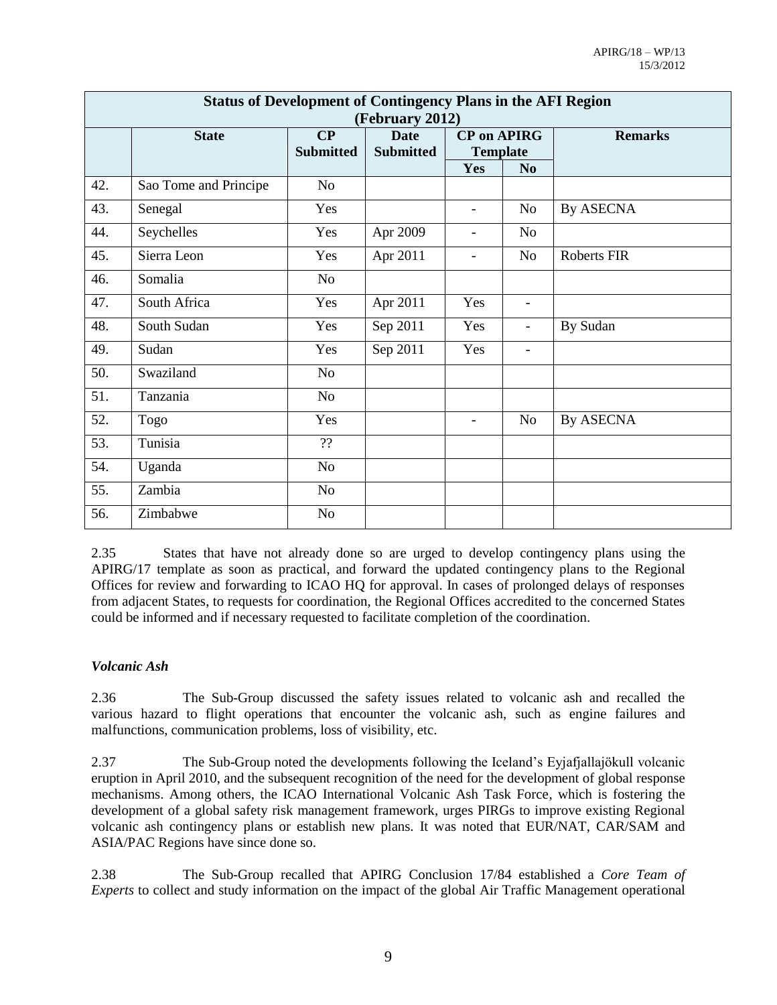| <b>Status of Development of Contingency Plans in the AFI Region</b> |                       |                                   |                  |                          |                          |                |  |
|---------------------------------------------------------------------|-----------------------|-----------------------------------|------------------|--------------------------|--------------------------|----------------|--|
| (February 2012)                                                     |                       |                                   |                  |                          |                          |                |  |
|                                                                     | <b>State</b>          | $\overline{\mathbf{C}}\mathbf{P}$ | <b>Date</b>      | <b>CP</b> on APIRG       |                          | <b>Remarks</b> |  |
|                                                                     |                       | <b>Submitted</b>                  | <b>Submitted</b> | <b>Template</b>          |                          |                |  |
|                                                                     |                       |                                   |                  | Yes                      | N <sub>o</sub>           |                |  |
| 42.                                                                 | Sao Tome and Principe | No                                |                  |                          |                          |                |  |
| 43.                                                                 | Senegal               | Yes                               |                  | $\overline{\phantom{a}}$ | N <sub>o</sub>           | By ASECNA      |  |
| 44.                                                                 | Seychelles            | Yes                               | Apr 2009         | $\overline{\phantom{a}}$ | No                       |                |  |
| 45.                                                                 | Sierra Leon           | Yes                               | Apr 2011         | $\overline{\phantom{a}}$ | N <sub>o</sub>           | Roberts FIR    |  |
| 46.                                                                 | Somalia               | No                                |                  |                          |                          |                |  |
| 47.                                                                 | South Africa          | Yes                               | Apr 2011         | Yes                      | $\overline{\phantom{a}}$ |                |  |
| 48.                                                                 | South Sudan           | Yes                               | Sep 2011         | Yes                      | $\overline{\phantom{a}}$ | By Sudan       |  |
| 49.                                                                 | Sudan                 | Yes                               | Sep 2011         | Yes                      | $\overline{\phantom{a}}$ |                |  |
| 50.                                                                 | Swaziland             | No                                |                  |                          |                          |                |  |
| 51.                                                                 | Tanzania              | No                                |                  |                          |                          |                |  |
| 52.                                                                 | Togo                  | Yes                               |                  | $\overline{\phantom{a}}$ | <b>No</b>                | By ASECNA      |  |
| 53.                                                                 | Tunisia               | 22                                |                  |                          |                          |                |  |
| 54.                                                                 | Uganda                | No                                |                  |                          |                          |                |  |
| 55.                                                                 | Zambia                | No                                |                  |                          |                          |                |  |
| 56.                                                                 | Zimbabwe              | N <sub>o</sub>                    |                  |                          |                          |                |  |

2.35 States that have not already done so are urged to develop contingency plans using the APIRG/17 template as soon as practical, and forward the updated contingency plans to the Regional Offices for review and forwarding to ICAO HQ for approval. In cases of prolonged delays of responses from adjacent States, to requests for coordination, the Regional Offices accredited to the concerned States could be informed and if necessary requested to facilitate completion of the coordination.

### *Volcanic Ash*

2.36 The Sub-Group discussed the safety issues related to volcanic ash and recalled the various hazard to flight operations that encounter the volcanic ash, such as engine failures and malfunctions, communication problems, loss of visibility, etc.

2.37 The Sub-Group noted the developments following the Iceland's Eyjafjallajökull volcanic eruption in April 2010, and the subsequent recognition of the need for the development of global response mechanisms. Among others, the ICAO International Volcanic Ash Task Force, which is fostering the development of a global safety risk management framework, urges PIRGs to improve existing Regional volcanic ash contingency plans or establish new plans. It was noted that EUR/NAT, CAR/SAM and ASIA/PAC Regions have since done so.

2.38 The Sub-Group recalled that APIRG Conclusion 17/84 established a *Core Team of Experts* to collect and study information on the impact of the global Air Traffic Management operational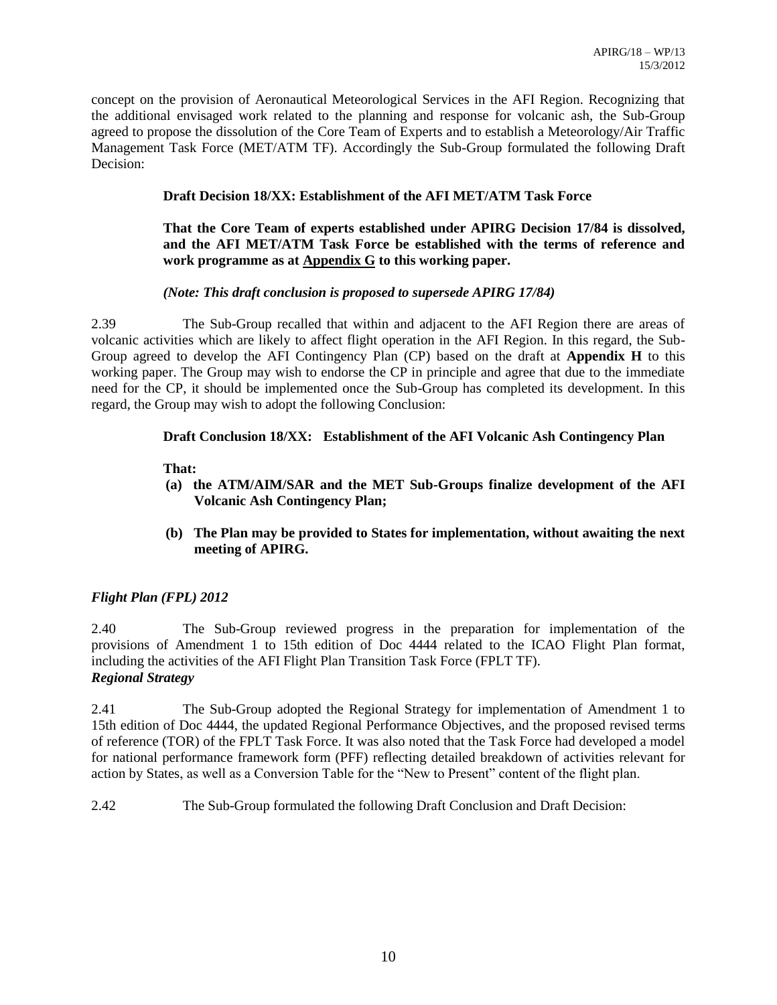concept on the provision of Aeronautical Meteorological Services in the AFI Region. Recognizing that the additional envisaged work related to the planning and response for volcanic ash, the Sub-Group agreed to propose the dissolution of the Core Team of Experts and to establish a Meteorology/Air Traffic Management Task Force (MET/ATM TF). Accordingly the Sub-Group formulated the following Draft Decision:

# **Draft Decision 18/XX: Establishment of the AFI MET/ATM Task Force**

### **That the Core Team of experts established under APIRG Decision 17/84 is dissolved, and the AFI MET/ATM Task Force be established with the terms of reference and work programme as at Appendix G to this working paper.**

# *(Note: This draft conclusion is proposed to supersede APIRG 17/84)*

2.39 The Sub-Group recalled that within and adjacent to the AFI Region there are areas of volcanic activities which are likely to affect flight operation in the AFI Region. In this regard, the Sub-Group agreed to develop the AFI Contingency Plan (CP) based on the draft at **Appendix H** to this working paper. The Group may wish to endorse the CP in principle and agree that due to the immediate need for the CP, it should be implemented once the Sub-Group has completed its development. In this regard, the Group may wish to adopt the following Conclusion:

# **Draft Conclusion 18/XX: Establishment of the AFI Volcanic Ash Contingency Plan**

# **That:**

- **(a) the ATM/AIM/SAR and the MET Sub-Groups finalize development of the AFI Volcanic Ash Contingency Plan;**
- **(b) The Plan may be provided to States for implementation, without awaiting the next meeting of APIRG.**

# *Flight Plan (FPL) 2012*

2.40 The Sub-Group reviewed progress in the preparation for implementation of the provisions of Amendment 1 to 15th edition of Doc 4444 related to the ICAO Flight Plan format, including the activities of the AFI Flight Plan Transition Task Force (FPLT TF). *Regional Strategy*

2.41 The Sub-Group adopted the Regional Strategy for implementation of Amendment 1 to 15th edition of Doc 4444, the updated Regional Performance Objectives, and the proposed revised terms of reference (TOR) of the FPLT Task Force. It was also noted that the Task Force had developed a model for national performance framework form (PFF) reflecting detailed breakdown of activities relevant for action by States, as well as a Conversion Table for the "New to Present" content of the flight plan.

2.42 The Sub-Group formulated the following Draft Conclusion and Draft Decision: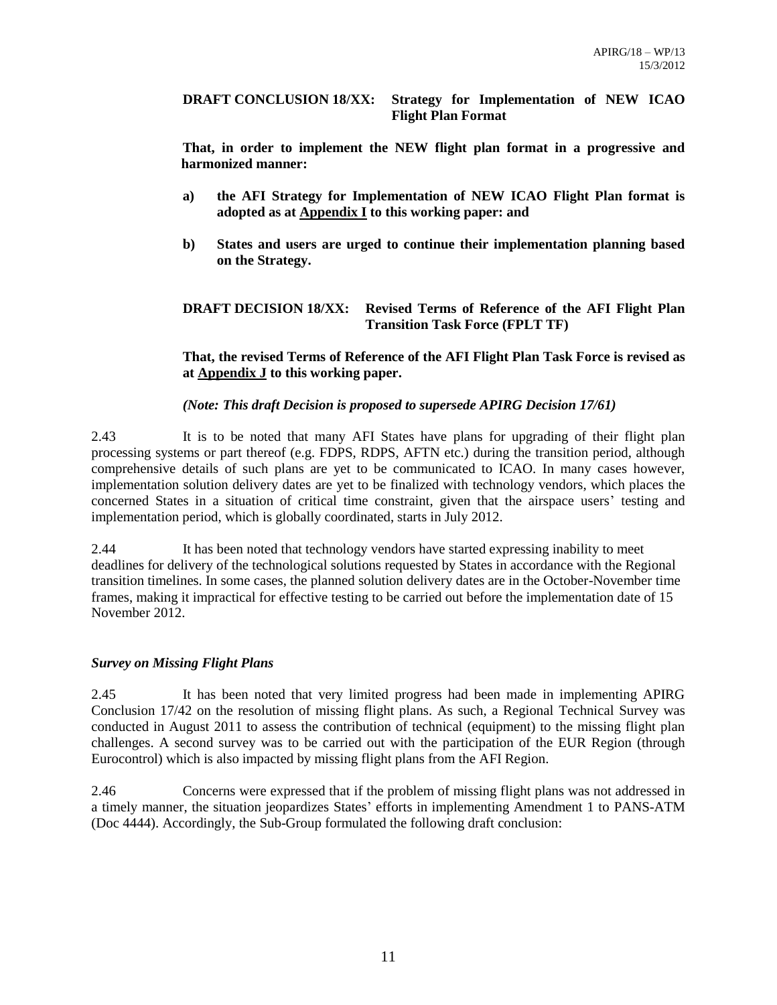#### **DRAFT CONCLUSION 18/XX: Strategy for Implementation of NEW ICAO Flight Plan Format**

**That, in order to implement the NEW flight plan format in a progressive and harmonized manner:**

- **a) the AFI Strategy for Implementation of NEW ICAO Flight Plan format is adopted as at Appendix I to this working paper: and**
- **b) States and users are urged to continue their implementation planning based on the Strategy.**

# **DRAFT DECISION 18/XX: Revised Terms of Reference of the AFI Flight Plan Transition Task Force (FPLT TF)**

### **That, the revised Terms of Reference of the AFI Flight Plan Task Force is revised as at Appendix J to this working paper.**

# *(Note: This draft Decision is proposed to supersede APIRG Decision 17/61)*

2.43 It is to be noted that many AFI States have plans for upgrading of their flight plan processing systems or part thereof (e.g. FDPS, RDPS, AFTN etc.) during the transition period, although comprehensive details of such plans are yet to be communicated to ICAO. In many cases however, implementation solution delivery dates are yet to be finalized with technology vendors, which places the concerned States in a situation of critical time constraint, given that the airspace users' testing and implementation period, which is globally coordinated, starts in July 2012.

2.44 It has been noted that technology vendors have started expressing inability to meet deadlines for delivery of the technological solutions requested by States in accordance with the Regional transition timelines. In some cases, the planned solution delivery dates are in the October-November time frames, making it impractical for effective testing to be carried out before the implementation date of 15 November 2012.

### *Survey on Missing Flight Plans*

2.45 It has been noted that very limited progress had been made in implementing APIRG Conclusion 17/42 on the resolution of missing flight plans. As such, a Regional Technical Survey was conducted in August 2011 to assess the contribution of technical (equipment) to the missing flight plan challenges. A second survey was to be carried out with the participation of the EUR Region (through Eurocontrol) which is also impacted by missing flight plans from the AFI Region.

2.46 Concerns were expressed that if the problem of missing flight plans was not addressed in a timely manner, the situation jeopardizes States' efforts in implementing Amendment 1 to PANS-ATM (Doc 4444). Accordingly, the Sub-Group formulated the following draft conclusion: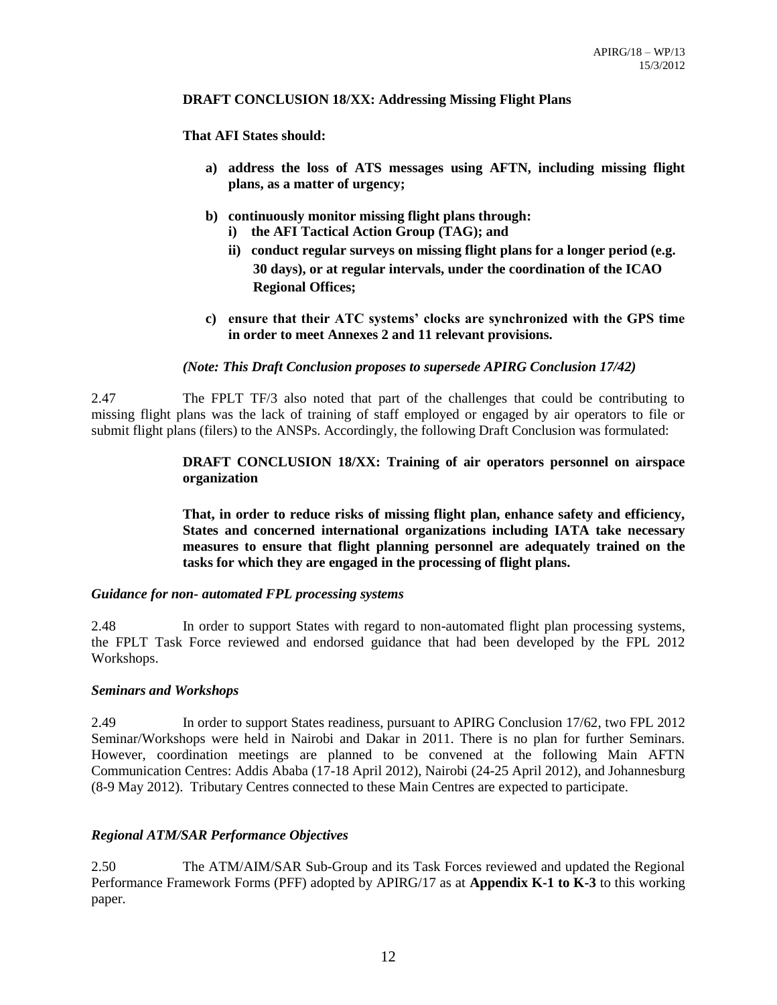#### **DRAFT CONCLUSION 18/XX: Addressing Missing Flight Plans**

### **That AFI States should:**

- **a) address the loss of ATS messages using AFTN, including missing flight plans, as a matter of urgency;**
- **b) continuously monitor missing flight plans through:**
	- **i) the AFI Tactical Action Group (TAG); and**
	- **ii) conduct regular surveys on missing flight plans for a longer period (e.g. 30 days), or at regular intervals, under the coordination of the ICAO Regional Offices;**
- **c) ensure that their ATC systems' clocks are synchronized with the GPS time in order to meet Annexes 2 and 11 relevant provisions.**

# *(Note: This Draft Conclusion proposes to supersede APIRG Conclusion 17/42)*

2.47 The FPLT TF/3 also noted that part of the challenges that could be contributing to missing flight plans was the lack of training of staff employed or engaged by air operators to file or submit flight plans (filers) to the ANSPs. Accordingly, the following Draft Conclusion was formulated:

# **DRAFT CONCLUSION 18/XX: Training of air operators personnel on airspace organization**

**That, in order to reduce risks of missing flight plan, enhance safety and efficiency, States and concerned international organizations including IATA take necessary measures to ensure that flight planning personnel are adequately trained on the tasks for which they are engaged in the processing of flight plans.**

### *Guidance for non- automated FPL processing systems*

2.48 In order to support States with regard to non-automated flight plan processing systems, the FPLT Task Force reviewed and endorsed guidance that had been developed by the FPL 2012 Workshops.

### *Seminars and Workshops*

2.49 In order to support States readiness, pursuant to APIRG Conclusion 17/62, two FPL 2012 Seminar/Workshops were held in Nairobi and Dakar in 2011. There is no plan for further Seminars. However, coordination meetings are planned to be convened at the following Main AFTN Communication Centres: Addis Ababa (17-18 April 2012), Nairobi (24-25 April 2012), and Johannesburg (8-9 May 2012). Tributary Centres connected to these Main Centres are expected to participate.

# *Regional ATM/SAR Performance Objectives*

2.50 The ATM/AIM/SAR Sub-Group and its Task Forces reviewed and updated the Regional Performance Framework Forms (PFF) adopted by APIRG/17 as at **Appendix K-1 to K-3** to this working paper.